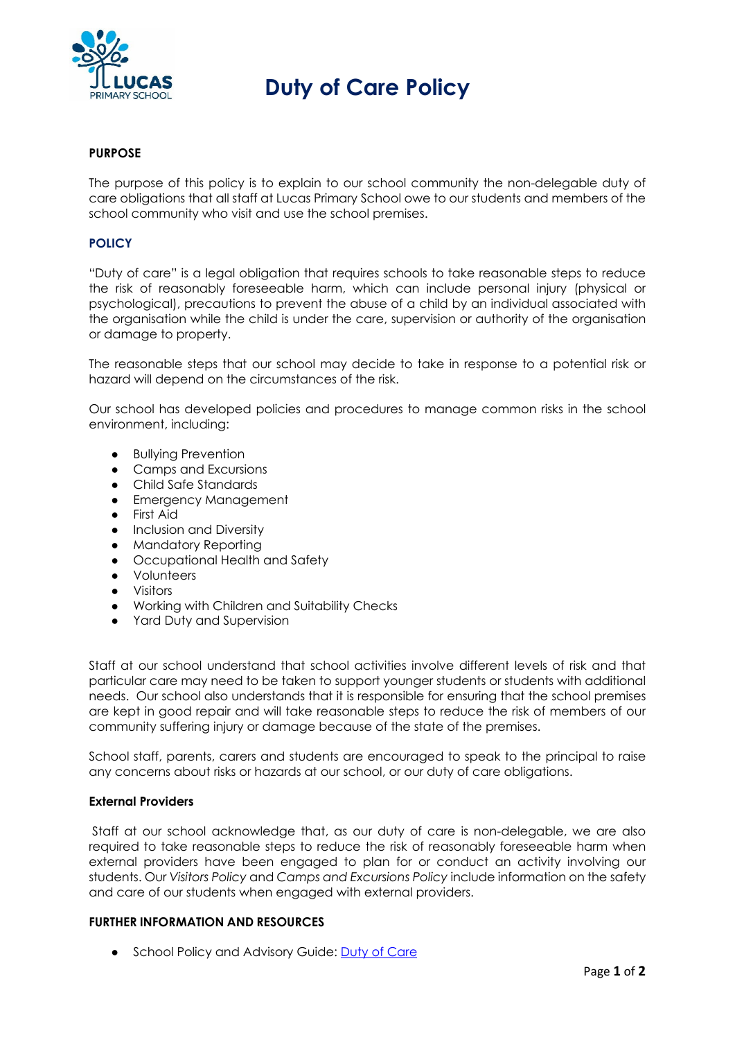

# **Duty of Care Policy**

### **PURPOSE**

The purpose of this policy is to explain to our school community the non-delegable duty of care obligations that all staff at Lucas Primary School owe to our students and members of the school community who visit and use the school premises.

#### **POLICY**

"Duty of care" is a legal obligation that requires schools to take reasonable steps to reduce the risk of reasonably foreseeable harm, which can include personal injury (physical or psychological), precautions to prevent the abuse of a child by an individual associated with the organisation while the child is under the care, supervision or authority of the organisation or damage to property.

The reasonable steps that our school may decide to take in response to a potential risk or hazard will depend on the circumstances of the risk.

Our school has developed policies and procedures to manage common risks in the school environment, including:

- Bullying Prevention
- Camps and Excursions
- Child Safe Standards
- Emergency Management
- First Aid
- Inclusion and Diversity
- Mandatory Reporting
- Occupational Health and Safety
- Volunteers
- Visitors
- Working with Children and Suitability Checks
- Yard Duty and Supervision

Staff at our school understand that school activities involve different levels of risk and that particular care may need to be taken to support younger students or students with additional needs. Our school also understands that it is responsible for ensuring that the school premises are kept in good repair and will take reasonable steps to reduce the risk of members of our community suffering injury or damage because of the state of the premises.

School staff, parents, carers and students are encouraged to speak to the principal to raise any concerns about risks or hazards at our school, or our duty of care obligations.

#### **External Providers**

 Staff at our school acknowledge that, as our duty of care is non-delegable, we are also required to take reasonable steps to reduce the risk of reasonably foreseeable harm when external providers have been engaged to plan for or conduct an activity involving our students. Our *Visitors Policy* and *Camps and Excursions Policy* include information on the safety and care of our students when engaged with external providers.

#### **FURTHER INFORMATION AND RESOURCES**

• School Policy and Advisory Guide: Duty of Care